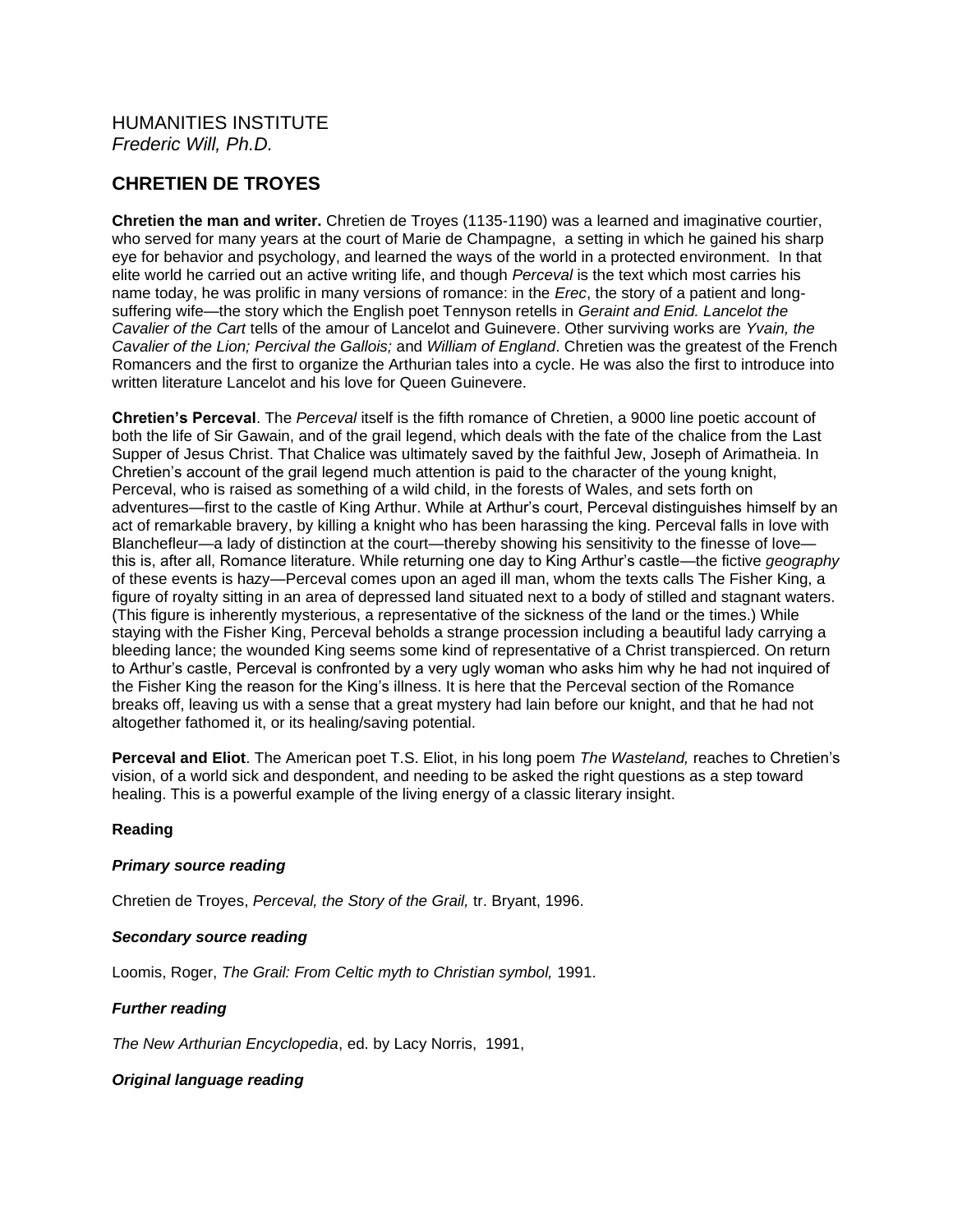# **CHRETIEN DE TROYES**

**Chretien the man and writer.** Chretien de Troyes (1135-1190) was a learned and imaginative courtier, who served for many years at the court of Marie de Champagne, a setting in which he gained his sharp eye for behavior and psychology, and learned the ways of the world in a protected environment. In that elite world he carried out an active writing life, and though *Perceval* is the text which most carries his name today, he was prolific in many versions of romance: in the *Erec*, the story of a patient and longsuffering wife—the story which the English poet Tennyson retells in *Geraint and Enid. Lancelot the Cavalier of the Cart* tells of the amour of Lancelot and Guinevere. Other surviving works are *Yvain, the Cavalier of the Lion; Percival the Gallois;* and *William of England*. Chretien was the greatest of the French Romancers and the first to organize the Arthurian tales into a cycle. He was also the first to introduce into written literature Lancelot and his love for Queen Guinevere.

**Chretien's Perceval**. The *Perceval* itself is the fifth romance of Chretien, a 9000 line poetic account of both the life of Sir Gawain, and of the grail legend, which deals with the fate of the chalice from the Last Supper of Jesus Christ. That Chalice was ultimately saved by the faithful Jew, Joseph of Arimatheia. In Chretien's account of the grail legend much attention is paid to the character of the young knight, Perceval, who is raised as something of a wild child, in the forests of Wales, and sets forth on adventures—first to the castle of King Arthur. While at Arthur's court, Perceval distinguishes himself by an act of remarkable bravery, by killing a knight who has been harassing the king. Perceval falls in love with Blanchefleur—a lady of distinction at the court—thereby showing his sensitivity to the finesse of love this is, after all, Romance literature. While returning one day to King Arthur's castle—the fictive *geography* of these events is hazy—Perceval comes upon an aged ill man, whom the texts calls The Fisher King, a figure of royalty sitting in an area of depressed land situated next to a body of stilled and stagnant waters. (This figure is inherently mysterious, a representative of the sickness of the land or the times.) While staying with the Fisher King, Perceval beholds a strange procession including a beautiful lady carrying a bleeding lance; the wounded King seems some kind of representative of a Christ transpierced. On return to Arthur's castle, Perceval is confronted by a very ugly woman who asks him why he had not inquired of the Fisher King the reason for the King's illness. It is here that the Perceval section of the Romance breaks off, leaving us with a sense that a great mystery had lain before our knight, and that he had not altogether fathomed it, or its healing/saving potential.

**Perceval and Eliot**. The American poet T.S. Eliot, in his long poem *The Wasteland,* reaches to Chretien's vision, of a world sick and despondent, and needing to be asked the right questions as a step toward healing. This is a powerful example of the living energy of a classic literary insight.

## **Reading**

### *Primary source reading*

Chretien de Troyes, *Perceval, the Story of the Grail,* tr. Bryant, 1996.

### *Secondary source reading*

Loomis, Roger, *The Grail: From Celtic myth to Christian symbol,* 1991.

## *Further reading*

*The New Arthurian Encyclopedia*, ed. by Lacy Norris, 1991,

## *Original language reading*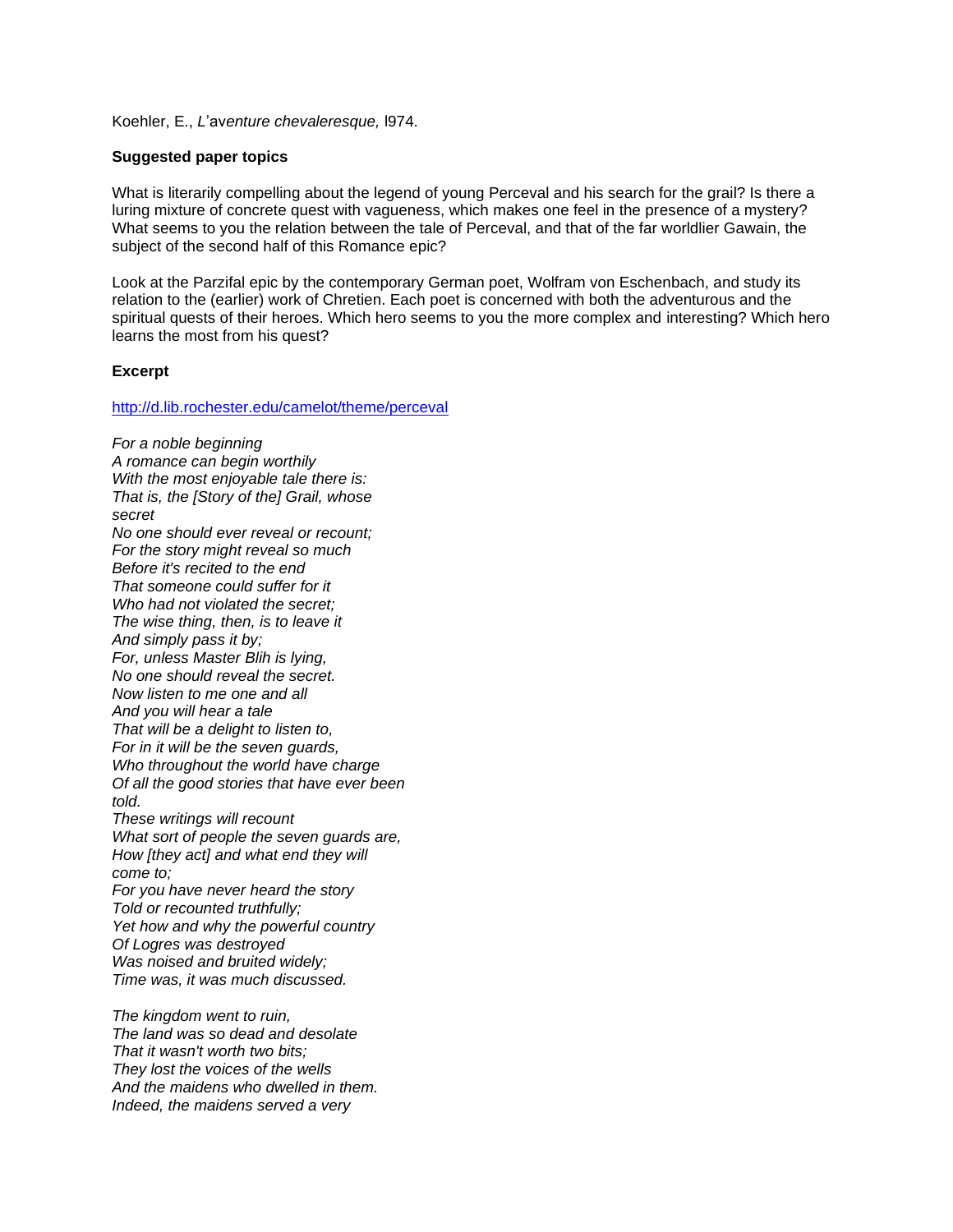Koehler, E., *L*'av*enture chevaleresque,* l974.

#### **Suggested paper topics**

What is literarily compelling about the legend of young Perceval and his search for the grail? Is there a luring mixture of concrete quest with vagueness, which makes one feel in the presence of a mystery? What seems to you the relation between the tale of Perceval, and that of the far worldlier Gawain, the subject of the second half of this Romance epic?

Look at the Parzifal epic by the contemporary German poet, Wolfram von Eschenbach, and study its relation to the (earlier) work of Chretien. Each poet is concerned with both the adventurous and the spiritual quests of their heroes. Which hero seems to you the more complex and interesting? Which hero learns the most from his quest?

### **Excerpt**

<http://d.lib.rochester.edu/camelot/theme/perceval>

*For a noble beginning A romance can begin worthily With the most enjoyable tale there is: That is, the [Story of the] Grail, whose secret No one should ever reveal or recount; For the story might reveal so much Before it's recited to the end That someone could suffer for it Who had not violated the secret; The wise thing, then, is to leave it And simply pass it by; For, unless Master Blih is lying, No one should reveal the secret. Now listen to me one and all And you will hear a tale That will be a delight to listen to, For in it will be the seven guards, Who throughout the world have charge Of all the good stories that have ever been told. These writings will recount What sort of people the seven guards are, How [they act] and what end they will come to; For you have never heard the story Told or recounted truthfully; Yet how and why the powerful country Of Logres was destroyed Was noised and bruited widely; Time was, it was much discussed. The kingdom went to ruin,*

*The land was so dead and desolate That it wasn't worth two bits; They lost the voices of the wells And the maidens who dwelled in them. Indeed, the maidens served a very*